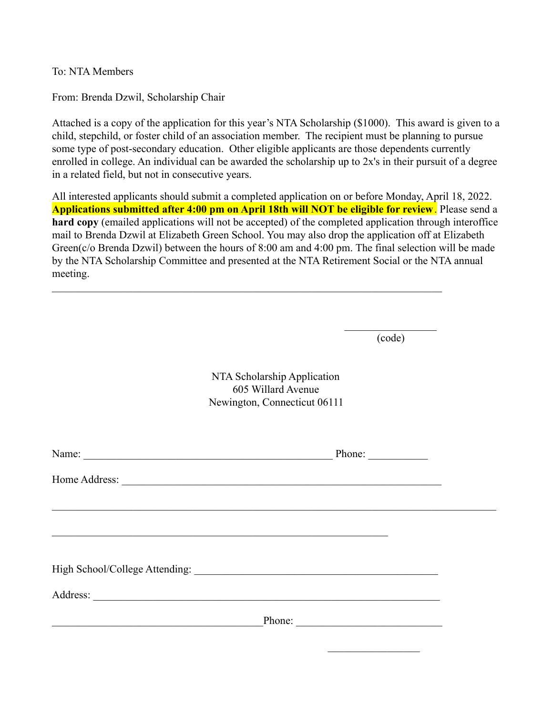To: NTA Members

From: Brenda Dzwil, Scholarship Chair

Attached is a copy of the application for this year's NTA Scholarship (\$1000). This award is given to a child, stepchild, or foster child of an association member. The recipient must be planning to pursue some type of post-secondary education. Other eligible applicants are those dependents currently enrolled in college. An individual can be awarded the scholarship up to 2x's in their pursuit of a degree in a related field, but not in consecutive years.

All interested applicants should submit a completed application on or before Monday, April 18, 2022. **Applications submitted after 4:00 pm on April 18th will NOT be eligible for review**. Please send a **hard copy** (emailed applications will not be accepted) of the completed application through interoffice mail to Brenda Dzwil at Elizabeth Green School. You may also drop the application off at Elizabeth Green(c/o Brenda Dzwil) between the hours of 8:00 am and 4:00 pm. The final selection will be made by the NTA Scholarship Committee and presented at the NTA Retirement Social or the NTA annual meeting.

 $\mathcal{L}_\mathcal{L} = \{ \mathcal{L}_\mathcal{L} = \{ \mathcal{L}_\mathcal{L} = \{ \mathcal{L}_\mathcal{L} = \{ \mathcal{L}_\mathcal{L} = \{ \mathcal{L}_\mathcal{L} = \{ \mathcal{L}_\mathcal{L} = \{ \mathcal{L}_\mathcal{L} = \{ \mathcal{L}_\mathcal{L} = \{ \mathcal{L}_\mathcal{L} = \{ \mathcal{L}_\mathcal{L} = \{ \mathcal{L}_\mathcal{L} = \{ \mathcal{L}_\mathcal{L} = \{ \mathcal{L}_\mathcal{L} = \{ \mathcal{L}_\mathcal{$ 

 $\frac{1}{2}$  ,  $\frac{1}{2}$  ,  $\frac{1}{2}$  ,  $\frac{1}{2}$  ,  $\frac{1}{2}$  ,  $\frac{1}{2}$  ,  $\frac{1}{2}$  ,  $\frac{1}{2}$ (code)

NTA Scholarship Application 605 Willard Avenue Newington, Connecticut 06111

| Phone: $\qquad \qquad$ |  |
|------------------------|--|
|                        |  |
|                        |  |
|                        |  |
|                        |  |
|                        |  |
|                        |  |
| Phone:                 |  |
|                        |  |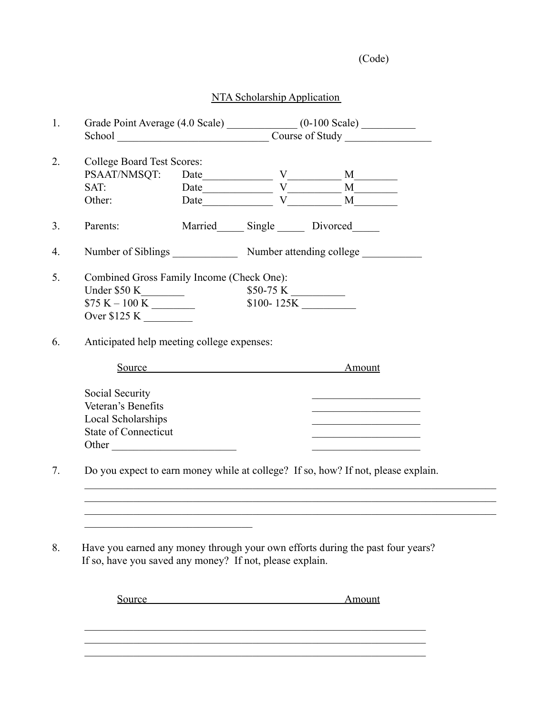(Code)

## NTA Scholarship Application

|                                                                                                                                            |  |                                                                                                                                                                                                                                                                                                                                                     | Grade Point Average (4.0 Scale) _______________ (0-100 Scale) __________ |                                                                                                                      |  |  |
|--------------------------------------------------------------------------------------------------------------------------------------------|--|-----------------------------------------------------------------------------------------------------------------------------------------------------------------------------------------------------------------------------------------------------------------------------------------------------------------------------------------------------|--------------------------------------------------------------------------|----------------------------------------------------------------------------------------------------------------------|--|--|
|                                                                                                                                            |  |                                                                                                                                                                                                                                                                                                                                                     |                                                                          |                                                                                                                      |  |  |
| <b>College Board Test Scores:</b>                                                                                                          |  |                                                                                                                                                                                                                                                                                                                                                     |                                                                          |                                                                                                                      |  |  |
| PSAAT/NMSQT:                                                                                                                               |  |                                                                                                                                                                                                                                                                                                                                                     |                                                                          |                                                                                                                      |  |  |
| SAT:                                                                                                                                       |  | $\begin{picture}(150,10) \put(0,0){\line(1,0){10}} \put(15,0){\line(1,0){10}} \put(15,0){\line(1,0){10}} \put(15,0){\line(1,0){10}} \put(15,0){\line(1,0){10}} \put(15,0){\line(1,0){10}} \put(15,0){\line(1,0){10}} \put(15,0){\line(1,0){10}} \put(15,0){\line(1,0){10}} \put(15,0){\line(1,0){10}} \put(15,0){\line(1,0){10}} \put(15,0){\line($ |                                                                          |                                                                                                                      |  |  |
|                                                                                                                                            |  |                                                                                                                                                                                                                                                                                                                                                     |                                                                          |                                                                                                                      |  |  |
| Other:                                                                                                                                     |  |                                                                                                                                                                                                                                                                                                                                                     |                                                                          |                                                                                                                      |  |  |
| Parents:                                                                                                                                   |  | Married Single Divorced                                                                                                                                                                                                                                                                                                                             |                                                                          |                                                                                                                      |  |  |
| Number of Siblings Number attending college                                                                                                |  |                                                                                                                                                                                                                                                                                                                                                     |                                                                          |                                                                                                                      |  |  |
| Combined Gross Family Income (Check One):                                                                                                  |  |                                                                                                                                                                                                                                                                                                                                                     |                                                                          |                                                                                                                      |  |  |
|                                                                                                                                            |  | $$50-75 K$                                                                                                                                                                                                                                                                                                                                          |                                                                          |                                                                                                                      |  |  |
| $$75 K - 100 K$                                                                                                                            |  |                                                                                                                                                                                                                                                                                                                                                     |                                                                          |                                                                                                                      |  |  |
| Over $$125 K$                                                                                                                              |  |                                                                                                                                                                                                                                                                                                                                                     |                                                                          |                                                                                                                      |  |  |
|                                                                                                                                            |  |                                                                                                                                                                                                                                                                                                                                                     |                                                                          |                                                                                                                      |  |  |
| Source<br>Social Security                                                                                                                  |  |                                                                                                                                                                                                                                                                                                                                                     |                                                                          | Amount<br>the control of the control of the control of the control of                                                |  |  |
| Veteran's Benefits                                                                                                                         |  |                                                                                                                                                                                                                                                                                                                                                     |                                                                          | the control of the control of the control of the control of                                                          |  |  |
| Local Scholarships                                                                                                                         |  |                                                                                                                                                                                                                                                                                                                                                     |                                                                          | <u> 1960 - Johann John Stein, mars eta bainar eta bainar eta baina eta baina eta baina eta baina eta baina eta b</u> |  |  |
| <b>State of Connecticut</b>                                                                                                                |  |                                                                                                                                                                                                                                                                                                                                                     |                                                                          | the control of the control of the control of the control of the control of                                           |  |  |
| Other                                                                                                                                      |  |                                                                                                                                                                                                                                                                                                                                                     |                                                                          | the control of the control of the control of the control of                                                          |  |  |
| Do you expect to earn money while at college? If so, how? If not, please explain.                                                          |  |                                                                                                                                                                                                                                                                                                                                                     |                                                                          |                                                                                                                      |  |  |
|                                                                                                                                            |  |                                                                                                                                                                                                                                                                                                                                                     |                                                                          |                                                                                                                      |  |  |
|                                                                                                                                            |  |                                                                                                                                                                                                                                                                                                                                                     |                                                                          |                                                                                                                      |  |  |
|                                                                                                                                            |  |                                                                                                                                                                                                                                                                                                                                                     |                                                                          |                                                                                                                      |  |  |
| Have you earned any money through your own efforts during the past four years?<br>If so, have you saved any money? If not, please explain. |  |                                                                                                                                                                                                                                                                                                                                                     |                                                                          |                                                                                                                      |  |  |
|                                                                                                                                            |  |                                                                                                                                                                                                                                                                                                                                                     |                                                                          |                                                                                                                      |  |  |

 $\mathcal{L}_\text{max}$  , and the contribution of the contribution of the contribution of the contribution of the contribution of the contribution of the contribution of the contribution of the contribution of the contribution of t  $\mathcal{L}_\text{max}$  , and the contribution of the contribution of the contribution of the contribution of the contribution of the contribution of the contribution of the contribution of the contribution of the contribution of t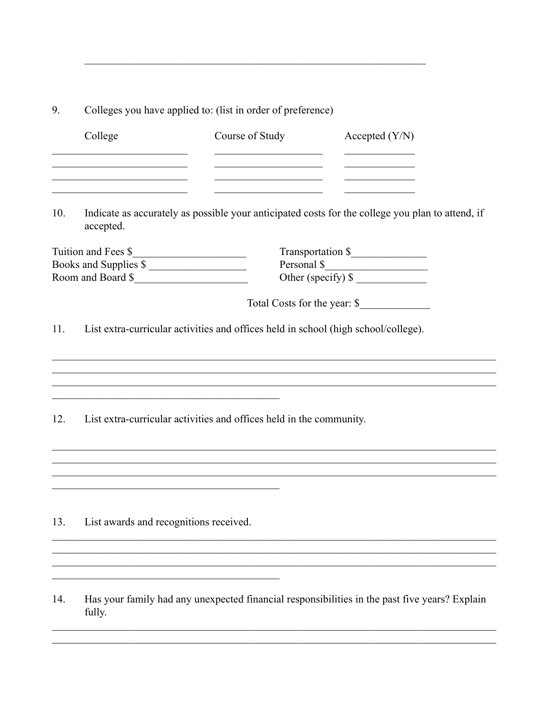9. Colleges you have applied to: (list in order of preference)

| College | Course of Study | Accepted $(Y/N)$ |
|---------|-----------------|------------------|
|         |                 |                  |
|         |                 |                  |

Indicate as accurately as possible your anticipated costs for the college you plan to attend, if 10. accepted.

| Tuition and Fees \$   | Transportation \$   |
|-----------------------|---------------------|
| Books and Supplies \$ | Personal \$         |
| Room and Board \$     | Other (specify) $\$ |

Total Costs for the year: \$

<u> 1989 - Johann Stoff, amerikansk politiker (d. 1989)</u>

List extra-curricular activities and offices held in school (high school/college).  $11.$ 

List extra-curricular activities and offices held in the community. 12.

<u> 1980 - John Stein, Amerikaansk politiker (</u>

13. List awards and recognitions received.

<u> 1989 - Johann Barbara, martxa amerikan personal (h. 1989).</u>

Has your family had any unexpected financial responsibilities in the past five years? Explain 14. fully.